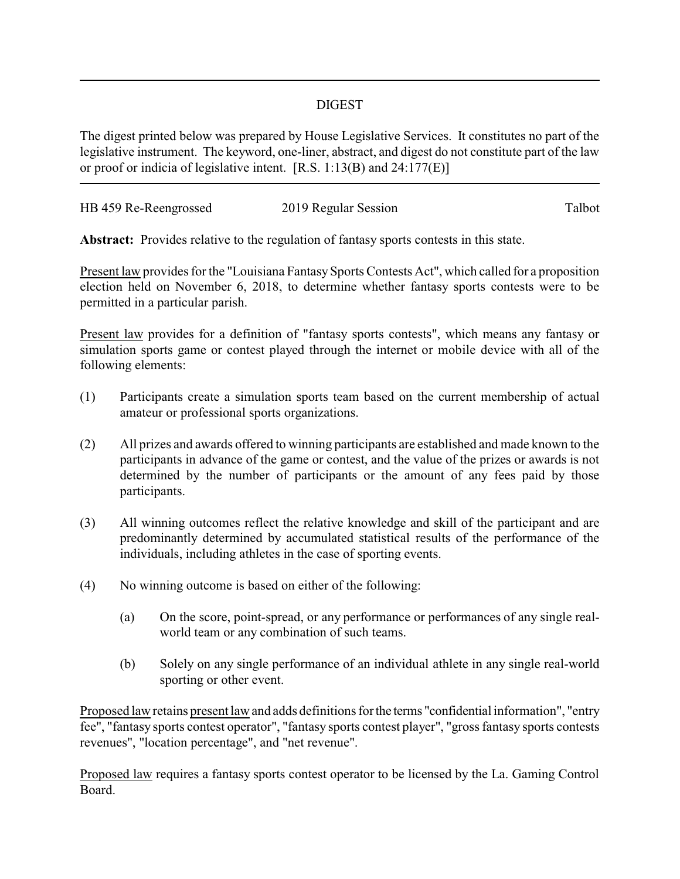## DIGEST

The digest printed below was prepared by House Legislative Services. It constitutes no part of the legislative instrument. The keyword, one-liner, abstract, and digest do not constitute part of the law or proof or indicia of legislative intent. [R.S. 1:13(B) and 24:177(E)]

| HB 459 Re-Reengrossed | 2019 Regular Session | Talbot |
|-----------------------|----------------------|--------|
|                       |                      |        |

**Abstract:** Provides relative to the regulation of fantasy sports contests in this state.

Present law provides for the "Louisiana Fantasy Sports Contests Act", which called for a proposition election held on November 6, 2018, to determine whether fantasy sports contests were to be permitted in a particular parish.

Present law provides for a definition of "fantasy sports contests", which means any fantasy or simulation sports game or contest played through the internet or mobile device with all of the following elements:

- (1) Participants create a simulation sports team based on the current membership of actual amateur or professional sports organizations.
- (2) All prizes and awards offered to winning participants are established and made known to the participants in advance of the game or contest, and the value of the prizes or awards is not determined by the number of participants or the amount of any fees paid by those participants.
- (3) All winning outcomes reflect the relative knowledge and skill of the participant and are predominantly determined by accumulated statistical results of the performance of the individuals, including athletes in the case of sporting events.
- (4) No winning outcome is based on either of the following:
	- (a) On the score, point-spread, or any performance or performances of any single realworld team or any combination of such teams.
	- (b) Solely on any single performance of an individual athlete in any single real-world sporting or other event.

Proposed law retains present law and adds definitions forthe terms "confidential information", "entry fee", "fantasy sports contest operator", "fantasy sports contest player", "gross fantasy sports contests revenues", "location percentage", and "net revenue".

Proposed law requires a fantasy sports contest operator to be licensed by the La. Gaming Control Board.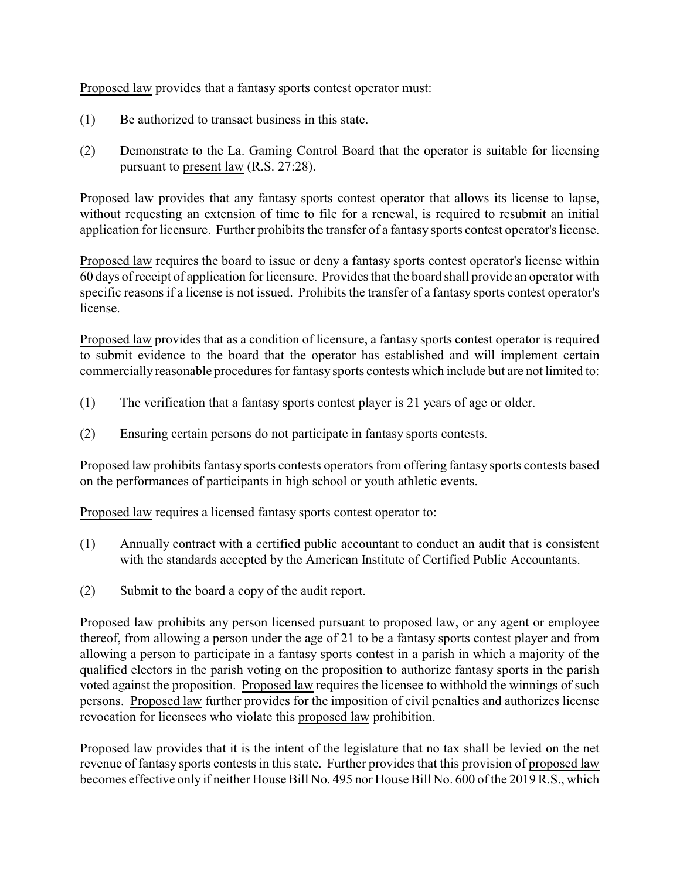Proposed law provides that a fantasy sports contest operator must:

- (1) Be authorized to transact business in this state.
- (2) Demonstrate to the La. Gaming Control Board that the operator is suitable for licensing pursuant to present law (R.S. 27:28).

Proposed law provides that any fantasy sports contest operator that allows its license to lapse, without requesting an extension of time to file for a renewal, is required to resubmit an initial application for licensure. Further prohibits the transfer of a fantasy sports contest operator's license.

Proposed law requires the board to issue or deny a fantasy sports contest operator's license within 60 days of receipt of application for licensure. Provides that the board shall provide an operator with specific reasons if a license is not issued. Prohibits the transfer of a fantasy sports contest operator's license.

Proposed law provides that as a condition of licensure, a fantasy sports contest operator is required to submit evidence to the board that the operator has established and will implement certain commercially reasonable procedures for fantasy sports contests which include but are not limited to:

- (1) The verification that a fantasy sports contest player is 21 years of age or older.
- (2) Ensuring certain persons do not participate in fantasy sports contests.

Proposed law prohibits fantasy sports contests operators from offering fantasy sports contests based on the performances of participants in high school or youth athletic events.

Proposed law requires a licensed fantasy sports contest operator to:

- (1) Annually contract with a certified public accountant to conduct an audit that is consistent with the standards accepted by the American Institute of Certified Public Accountants.
- (2) Submit to the board a copy of the audit report.

Proposed law prohibits any person licensed pursuant to proposed law, or any agent or employee thereof, from allowing a person under the age of 21 to be a fantasy sports contest player and from allowing a person to participate in a fantasy sports contest in a parish in which a majority of the qualified electors in the parish voting on the proposition to authorize fantasy sports in the parish voted against the proposition. Proposed law requires the licensee to withhold the winnings of such persons. Proposed law further provides for the imposition of civil penalties and authorizes license revocation for licensees who violate this proposed law prohibition.

Proposed law provides that it is the intent of the legislature that no tax shall be levied on the net revenue of fantasy sports contests in this state. Further provides that this provision of proposed law becomes effective only if neither House Bill No. 495 nor House Bill No. 600 of the 2019 R.S., which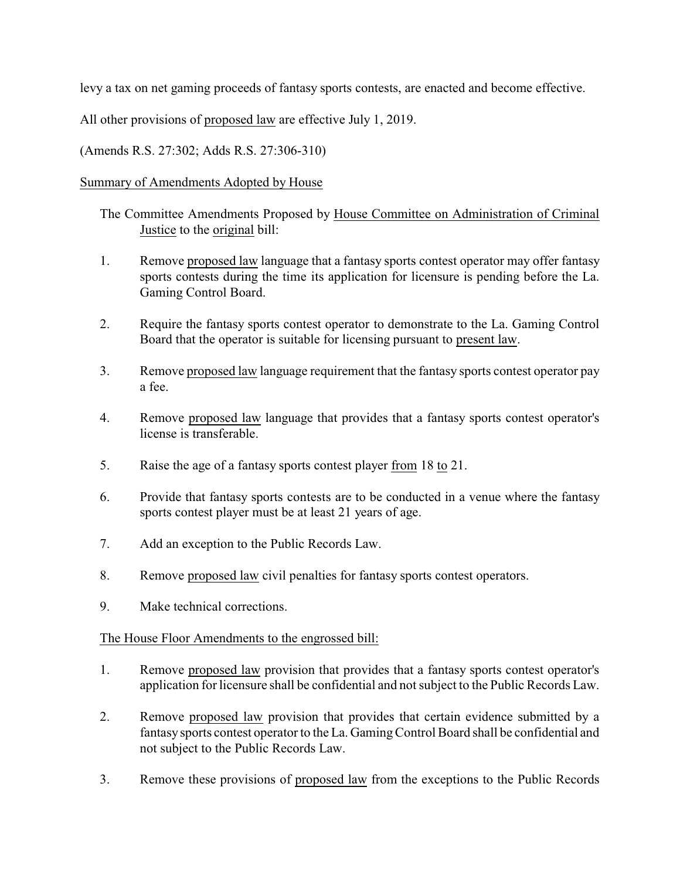levy a tax on net gaming proceeds of fantasy sports contests, are enacted and become effective.

All other provisions of proposed law are effective July 1, 2019.

(Amends R.S. 27:302; Adds R.S. 27:306-310)

## Summary of Amendments Adopted by House

- The Committee Amendments Proposed by House Committee on Administration of Criminal Justice to the original bill:
- 1. Remove proposed law language that a fantasy sports contest operator may offer fantasy sports contests during the time its application for licensure is pending before the La. Gaming Control Board.
- 2. Require the fantasy sports contest operator to demonstrate to the La. Gaming Control Board that the operator is suitable for licensing pursuant to present law.
- 3. Remove proposed law language requirement that the fantasy sports contest operator pay a fee.
- 4. Remove proposed law language that provides that a fantasy sports contest operator's license is transferable.
- 5. Raise the age of a fantasy sports contest player from 18 to 21.
- 6. Provide that fantasy sports contests are to be conducted in a venue where the fantasy sports contest player must be at least 21 years of age.
- 7. Add an exception to the Public Records Law.
- 8. Remove proposed law civil penalties for fantasy sports contest operators.
- 9. Make technical corrections.

## The House Floor Amendments to the engrossed bill:

- 1. Remove proposed law provision that provides that a fantasy sports contest operator's application for licensure shall be confidential and not subject to the Public Records Law.
- 2. Remove proposed law provision that provides that certain evidence submitted by a fantasy sports contest operator to the La. Gaming Control Board shall be confidential and not subject to the Public Records Law.
- 3. Remove these provisions of proposed law from the exceptions to the Public Records